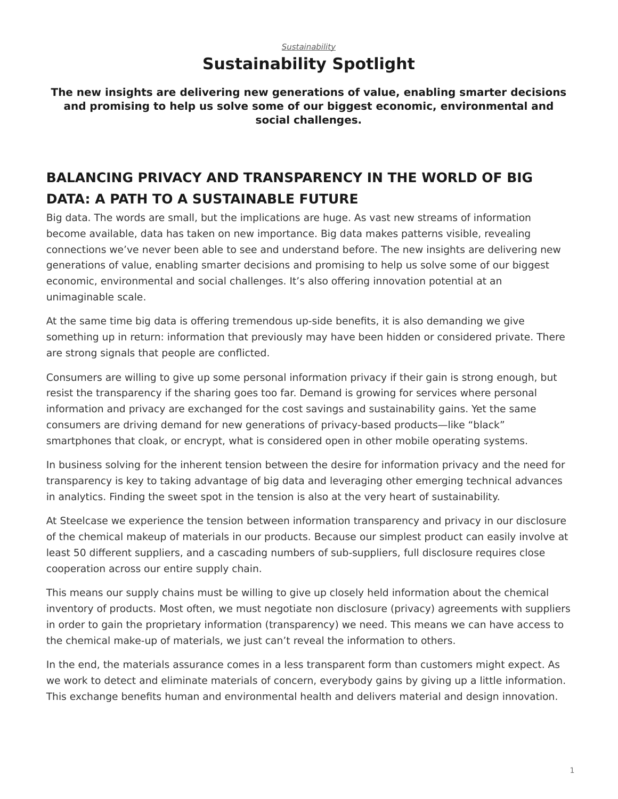## *[Sustainability](https://www.steelcase.com/asia-en/research/topics/sustainability/)* **Sustainability Spotlight**

**The new insights are delivering new generations of value, enabling smarter decisions and promising to help us solve some of our biggest economic, environmental and social challenges.**

## **BALANCING PRIVACY AND TRANSPARENCY IN THE WORLD OF BIG DATA: A PATH TO A SUSTAINABLE FUTURE**

Big data. The words are small, but the implications are huge. As vast new streams of information become available, data has taken on new importance. Big data makes patterns visible, revealing connections we've never been able to see and understand before. The new insights are delivering new generations of value, enabling smarter decisions and promising to help us solve some of our biggest economic, environmental and social challenges. It's also offering innovation potential at an unimaginable scale.

At the same time big data is offering tremendous up-side benefits, it is also demanding we give something up in return: information that previously may have been hidden or considered private. There are strong signals that people are conflicted.

Consumers are willing to give up some personal information privacy if their gain is strong enough, but resist the transparency if the sharing goes too far. Demand is growing for services where personal information and privacy are exchanged for the cost savings and sustainability gains. Yet the same consumers are driving demand for new generations of privacy-based products—like "black" smartphones that cloak, or encrypt, what is considered open in other mobile operating systems.

In business solving for the inherent tension between the desire for information privacy and the need for transparency is key to taking advantage of big data and leveraging other emerging technical advances in analytics. Finding the sweet spot in the tension is also at the very heart of sustainability.

At Steelcase we experience the tension between information transparency and privacy in our disclosure of the chemical makeup of materials in our products. Because our simplest product can easily involve at least 50 different suppliers, and a cascading numbers of sub-suppliers, full disclosure requires close cooperation across our entire supply chain.

This means our supply chains must be willing to give up closely held information about the chemical inventory of products. Most often, we must negotiate non disclosure (privacy) agreements with suppliers in order to gain the proprietary information (transparency) we need. This means we can have access to the chemical make-up of materials, we just can't reveal the information to others.

In the end, the materials assurance comes in a less transparent form than customers might expect. As we work to detect and eliminate materials of concern, everybody gains by giving up a little information. This exchange benefits human and environmental health and delivers material and design innovation.